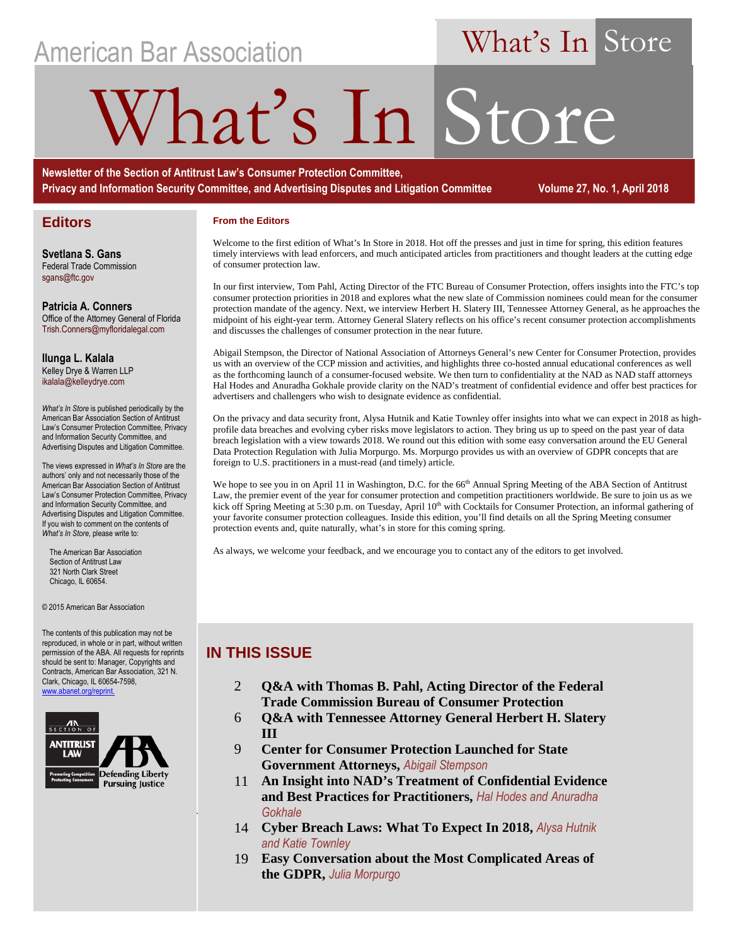## American Bar Association

## What's In Store

# hat's In Store

**Newsletter of the Section of Antitrust Law's Consumer Protection Committee, Privacy and Information Security Committee, and Advertising Disputes and Litigation Committee Volume 27, No. 1, April 2018** 

#### **Editors**

**From the Editors**

Welcome to the first edition of What's In Store in 2018. Hot off the presses and just in time for spring, this edition features timely interviews with lead enforcers, and much anticipated articles from practitioners and thought leaders at the cutting edge of consumer protection law.

In our first interview, Tom Pahl, Acting Director of the FTC Bureau of Consumer Protection, offers insights into the FTC's top consumer protection priorities in 2018 and explores what the new slate of Commission nominees could mean for the consumer protection mandate of the agency. Next, we interview Herbert H. Slatery III, Tennessee Attorney General, as he approaches the midpoint of his eight-year term. Attorney General Slatery reflects on his office's recent consumer protection accomplishments and discusses the challenges of consumer protection in the near future.

Abigail Stempson, the Director of National Association of Attorneys General's new Center for Consumer Protection, provides us with an overview of the CCP mission and activities, and highlights three co-hosted annual educational conferences as well as the forthcoming launch of a consumer-focused website. We then turn to confidentiality at the NAD as NAD staff attorneys Hal Hodes and Anuradha Gokhale provide clarity on the NAD's treatment of confidential evidence and offer best practices for advertisers and challengers who wish to designate evidence as confidential.

On the privacy and data security front, Alysa Hutnik and Katie Townley offer insights into what we can expect in 2018 as highprofile data breaches and evolving cyber risks move legislators to action. They bring us up to speed on the past year of data breach legislation with a view towards 2018. We round out this edition with some easy conversation around the EU General Data Protection Regulation with Julia Morpurgo. Ms. Morpurgo provides us with an overview of GDPR concepts that are foreign to U.S. practitioners in a must-read (and timely) article.

We hope to see you in on April 11 in Washington, D.C. for the 66<sup>th</sup> Annual Spring Meeting of the ABA Section of Antitrust Law, the premier event of the year for consumer protection and competition practitioners worldwide. Be sure to join us as we kick off Spring Meeting at 5:30 p.m. on Tuesday, April 10<sup>th</sup> with Cocktails for Consumer Protection, an informal gathering of your favorite consumer protection colleagues. Inside this edition, you'll find details on all the Spring Meeting consumer protection events and, quite naturally, what's in store for this coming spring.

As always, we welcome your feedback, and we encourage you to contact any of the editors to get involved.

#### **IN THIS ISSUE**

- 2 **Q&A with Thomas B. Pahl, Acting Director of the Federal Trade Commission Bureau of Consumer Protection**
- 6 **Q&A with Tennessee Attorney General Herbert H. Slatery III**
- 9 **Center for Consumer Protection Launched for State Government Attorneys,** *Abigail Stempson*
- 11 **An Insight into NAD's Treatment of Confidential Evidence and Best Practices for Practitioners,** *Hal Hodes and Anuradha Gokhale*
- *What's in Store Store***, Apple 2018 <b>14 Cyber Breach Laws: What To Expect In 2018,** *Alysa Hutnik Alysa Hutnik Cyber Breach Laws: What To Expect In 2018, <i>Alysa Hutnik* **<b>***Alysa Hutnik and Katie Townley*
	- 19 **Easy Conversation about the Most Complicated Areas of the GDPR,** *Julia Morpurgo*

**Svetlana S. Gans** Federal Trade Commission sgans@ftc.gov

**Patricia A. Conners** Office of the Attorney General of Florida Trish.Conners@myfloridalegal.com

**Ilunga L. Kalala**  Kelley Drye & Warren LLP ikalala@kelleydrye.com

*What's In Store* is published periodically by the American Bar Association Section of Antitrust Law's Consumer Protection Committee, Privacy and Information Security Committee, and Advertising Disputes and Litigation Committee.

The views expressed in *What's In Store* are the authors' only and not necessarily those of the American Bar Association Section of Antitrust Law's Consumer Protection Committee, Privacy and Information Security Committee, and Advertising Disputes and Litigation Committee. If you wish to comment on the contents of *What's In Store*, please write to:

 The American Bar Association Section of Antitrust Law 321 North Clark Street Chicago, IL 60654.

#### © 2015 American Bar Association

The contents of this publication may not be reproduced, in whole or in part, without written permission of the ABA. All requests for reprints should be sent to: Manager, Copyrights and Contracts, American Bar Association, 321 N. Clark, Chicago, IL 60654-7598, eprint.

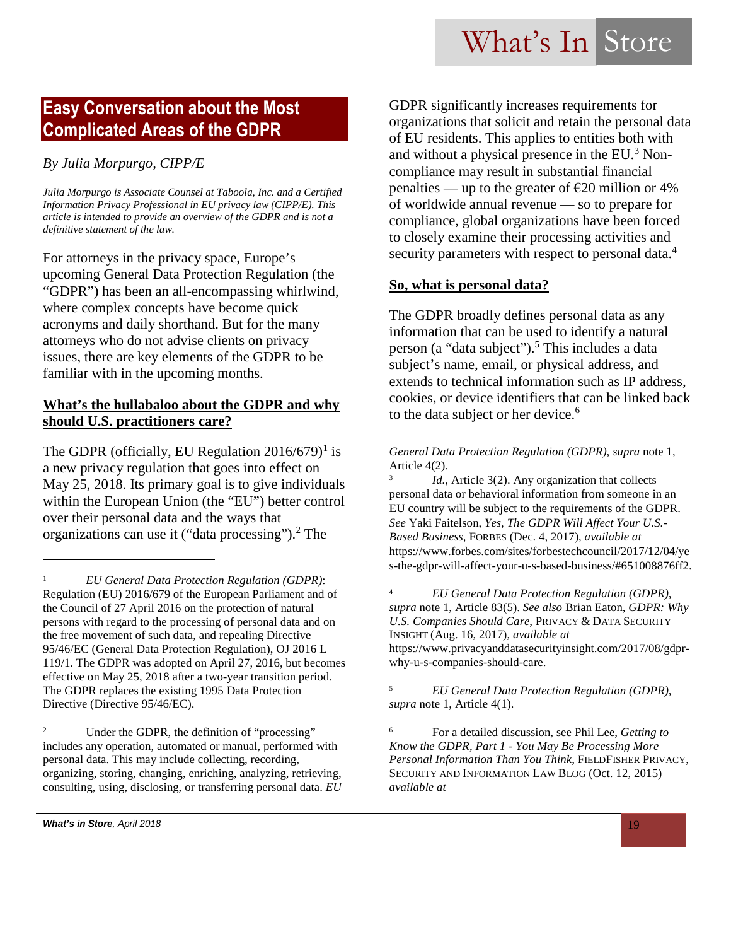### **Easy Conversation about the Most Complicated Areas of the GDPR**

#### *By Julia Morpurgo, CIPP/E*

*Julia Morpurgo is Associate Counsel at Taboola, Inc. and a Certified Information Privacy Professional in EU privacy law (CIPP/E). This article is intended to provide an overview of the GDPR and is not a definitive statement of the law.*

For attorneys in the privacy space, Europe's upcoming General Data Protection Regulation (the "GDPR") has been an all-encompassing whirlwind, where complex concepts have become quick acronyms and daily shorthand. But for the many attorneys who do not advise clients on privacy issues, there are key elements of the GDPR to be familiar with in the upcoming months.

#### **What's the hullabaloo about the GDPR and why should U.S. practitioners care?**

The GDPR (officially, EU Regulation  $2016/679$ <sup>1</sup> is a new privacy regulation that goes into effect on May 25, 2018. Its primary goal is to give individuals within the European Union (the "EU") better control over their personal data and the ways that organizations can use it ("data processing").<sup>2</sup> The

<sup>2</sup> Under the GDPR, the definition of "processing" includes any operation, automated or manual, performed with personal data. This may include collecting, recording, organizing, storing, changing, enriching, analyzing, retrieving, consulting, using, disclosing, or transferring personal data. *EU*  GDPR significantly increases requirements for organizations that solicit and retain the personal data of EU residents. This applies to entities both with and without a physical presence in the EU.<sup>3</sup> Noncompliance may result in substantial financial penalties — up to the greater of  $\epsilon$ 20 million or 4% of worldwide annual revenue — so to prepare for compliance, global organizations have been forced to closely examine their processing activities and security parameters with respect to personal data.<sup>4</sup>

#### **So, what is personal data?**

The GDPR broadly defines personal data as any information that can be used to identify a natural person (a "data subject").<sup>5</sup> This includes a data subject's name, email, or physical address, and extends to technical information such as IP address, cookies, or device identifiers that can be linked back to the data subject or her device.<sup>6</sup>

*General Data Protection Regulation (GDPR)*, *supra* note 1, Article 4(2).

3 *Id.*, Article 3(2). Any organization that collects personal data or behavioral information from someone in an EU country will be subject to the requirements of the GDPR. *See* Yaki Faitelson, *Yes, The GDPR Will Affect Your U.S.- Based Business*, FORBES (Dec. 4, 2017), *available at* https://www.forbes.com/sites/forbestechcouncil/2017/12/04/ye s-the-gdpr-will-affect-your-u-s-based-business/#651008876ff2.

<sup>4</sup> *EU General Data Protection Regulation (GDPR)*, *supra* note 1, Article 83(5). *See also* Brian Eaton, *GDPR: Why U.S. Companies Should Care*, PRIVACY & DATA SECURITY INSIGHT (Aug. 16, 2017), *available at* https://www.privacyanddatasecurityinsight.com/2017/08/gdprwhy-u-s-companies-should-care.

<sup>5</sup> *EU General Data Protection Regulation (GDPR)*, *supra* note 1, Article 4(1).

<sup>6</sup> For a detailed discussion, see Phil Lee, *Getting to Know the GDPR, Part 1 - You May Be Processing More Personal Information Than You Think*, FIELDFISHER PRIVACY, SECURITY AND INFORMATION LAW BLOG (Oct. 12, 2015) *available at*

<sup>1</sup> *EU General Data Protection Regulation (GDPR)*: Regulation (EU) 2016/679 of the European Parliament and of the Council of 27 April 2016 on the protection of natural persons with regard to the processing of personal data and on the free movement of such data, and repealing Directive 95/46/EC (General Data Protection Regulation), OJ 2016 L 119/1. The GDPR was adopted on April 27, 2016, but becomes effective on May 25, 2018 after a two-year transition period. The GDPR replaces the existing 1995 Data Protection Directive (Directive 95/46/EC).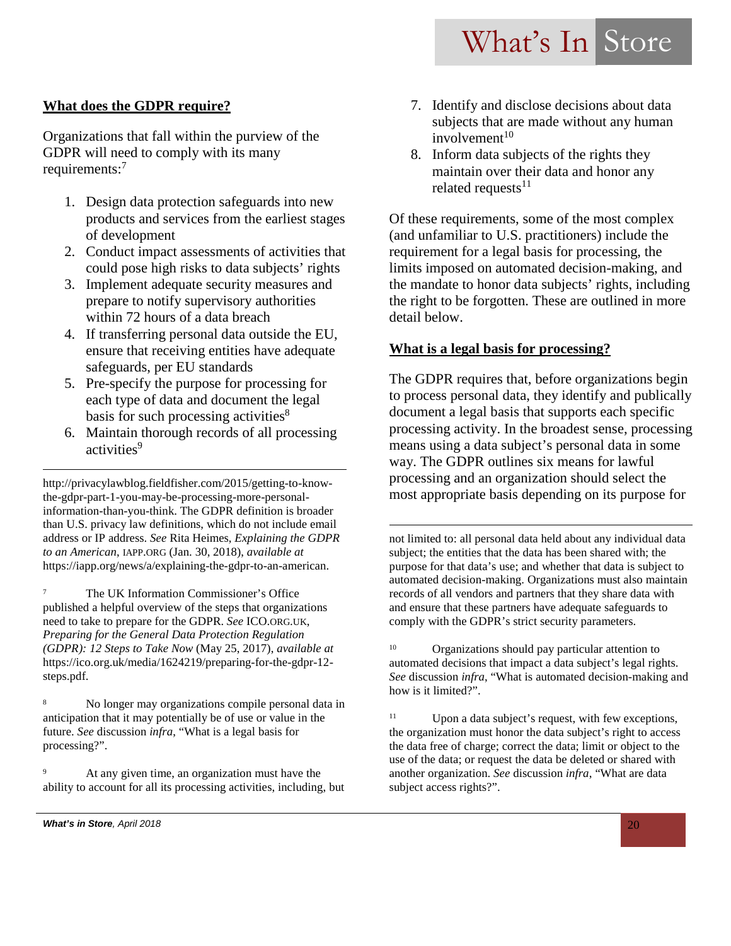#### **What does the GDPR require?**

Organizations that fall within the purview of the GDPR will need to comply with its many requirements:<sup>7</sup>

- 1. Design data protection safeguards into new products and services from the earliest stages of development
- 2. Conduct impact assessments of activities that could pose high risks to data subjects' rights
- 3. Implement adequate security measures and prepare to notify supervisory authorities within 72 hours of a data breach
- 4. If transferring personal data outside the EU, ensure that receiving entities have adequate safeguards, per EU standards
- 5. Pre-specify the purpose for processing for each type of data and document the legal basis for such processing activities $8$
- 6. Maintain thorough records of all processing activities<sup>9</sup>

http://privacylawblog.fieldfisher.com/2015/getting-to-knowthe-gdpr-part-1-you-may-be-processing-more-personalinformation-than-you-think. The GDPR definition is broader than U.S. privacy law definitions, which do not include email address or IP address. *See* Rita Heimes, *Explaining the GDPR to an American*, IAPP.ORG (Jan. 30, 2018), *available at* https://iapp.org/news/a/explaining-the-gdpr-to-an-american.

<sup>7</sup> The UK Information Commissioner's Office published a helpful overview of the steps that organizations need to take to prepare for the GDPR. *See* ICO.ORG.UK, *Preparing for the General Data Protection Regulation (GDPR): 12 Steps to Take Now* (May 25, 2017), *available at* https://ico.org.uk/media/1624219/preparing-for-the-gdpr-12 steps.pdf.

<sup>8</sup> No longer may organizations compile personal data in anticipation that it may potentially be of use or value in the future. *See* discussion *infra*, "What is a legal basis for processing?".

<sup>9</sup> At any given time, an organization must have the ability to account for all its processing activities, including, but

- 7. Identify and disclose decisions about data subjects that are made without any human  $involvement<sup>10</sup>$
- 8. Inform data subjects of the rights they maintain over their data and honor any related requests $11$

Of these requirements, some of the most complex (and unfamiliar to U.S. practitioners) include the requirement for a legal basis for processing, the limits imposed on automated decision-making, and the mandate to honor data subjects' rights, including the right to be forgotten. These are outlined in more detail below.

#### **What is a legal basis for processing?**

The GDPR requires that, before organizations begin to process personal data, they identify and publically document a legal basis that supports each specific processing activity. In the broadest sense, processing means using a data subject's personal data in some way. The GDPR outlines six means for lawful processing and an organization should select the most appropriate basis depending on its purpose for

not limited to: all personal data held about any individual data subject; the entities that the data has been shared with; the purpose for that data's use; and whether that data is subject to automated decision-making. Organizations must also maintain records of all vendors and partners that they share data with and ensure that these partners have adequate safeguards to comply with the GDPR's strict security parameters.

<sup>10</sup> Organizations should pay particular attention to automated decisions that impact a data subject's legal rights. *See* discussion *infra*, "What is automated decision-making and how is it limited?".

 $11$  Upon a data subject's request, with few exceptions, the organization must honor the data subject's right to access the data free of charge; correct the data; limit or object to the use of the data; or request the data be deleted or shared with another organization. *See* discussion *infra*, "What are data subject access rights?".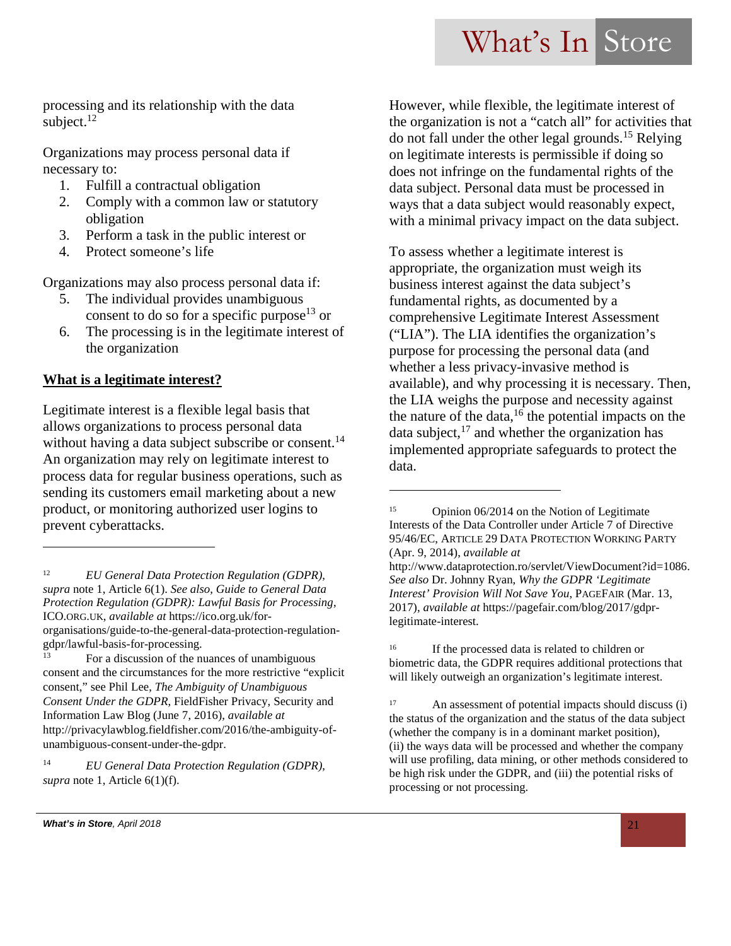processing and its relationship with the data subject. $12$ 

Organizations may process personal data if necessary to:

- 1. Fulfill a contractual obligation
- 2. Comply with a common law or statutory obligation
- 3. Perform a task in the public interest or
- 4. Protect someone's life

Organizations may also process personal data if:

- 5. The individual provides unambiguous consent to do so for a specific purpose<sup>13</sup> or
- 6. The processing is in the legitimate interest of the organization

#### **What is a legitimate interest?**

Legitimate interest is a flexible legal basis that allows organizations to process personal data without having a data subject subscribe or consent.<sup>14</sup> An organization may rely on legitimate interest to process data for regular business operations, such as sending its customers email marketing about a new product, or monitoring authorized user logins to prevent cyberattacks.

However, while flexible, the legitimate interest of the organization is not a "catch all" for activities that do not fall under the other legal grounds.<sup>15</sup> Relying on legitimate interests is permissible if doing so does not infringe on the fundamental rights of the data subject. Personal data must be processed in ways that a data subject would reasonably expect, with a minimal privacy impact on the data subject.

To assess whether a legitimate interest is appropriate, the organization must weigh its business interest against the data subject's fundamental rights, as documented by a comprehensive Legitimate Interest Assessment ("LIA"). The LIA identifies the organization's purpose for processing the personal data (and whether a less privacy-invasive method is available), and why processing it is necessary. Then, the LIA weighs the purpose and necessity against the nature of the data,<sup>16</sup> the potential impacts on the data subject, $^{17}$  and whether the organization has implemented appropriate safeguards to protect the data.

<sup>12</sup> *EU General Data Protection Regulation (GDPR)*, *supra* note 1, Article 6(1). *See also, Guide to General Data Protection Regulation (GDPR): Lawful Basis for Processing*, ICO.ORG.UK, *available at* https://ico.org.uk/fororganisations/guide-to-the-general-data-protection-regulationgdpr/lawful-basis-for-processing.

For a discussion of the nuances of unambiguous consent and the circumstances for the more restrictive "explicit consent," see Phil Lee, *The Ambiguity of Unambiguous Consent Under the GDPR*, FieldFisher Privacy, Security and Information Law Blog (June 7, 2016), *available at* http://privacylawblog.fieldfisher.com/2016/the-ambiguity-ofunambiguous-consent-under-the-gdpr.

<sup>14</sup> *EU General Data Protection Regulation (GDPR)*, *supra* note 1, Article 6(1)(f).

<sup>15</sup> Opinion 06/2014 on the Notion of Legitimate Interests of the Data Controller under Article 7 of Directive 95/46/EC, ARTICLE 29 DATA PROTECTION WORKING PARTY (Apr. 9, 2014), *available at* http://www.dataprotection.ro/servlet/ViewDocument?id=1086.

*See also* Dr. Johnny Ryan, *Why the GDPR 'Legitimate Interest' Provision Will Not Save You*, PAGEFAIR (Mar. 13, 2017), *available at* https://pagefair.com/blog/2017/gdprlegitimate-interest.

<sup>&</sup>lt;sup>16</sup> If the processed data is related to children or biometric data, the GDPR requires additional protections that will likely outweigh an organization's legitimate interest.

<sup>17</sup> An assessment of potential impacts should discuss (i) the status of the organization and the status of the data subject (whether the company is in a dominant market position), (ii) the ways data will be processed and whether the company will use profiling, data mining, or other methods considered to be high risk under the GDPR, and (iii) the potential risks of processing or not processing.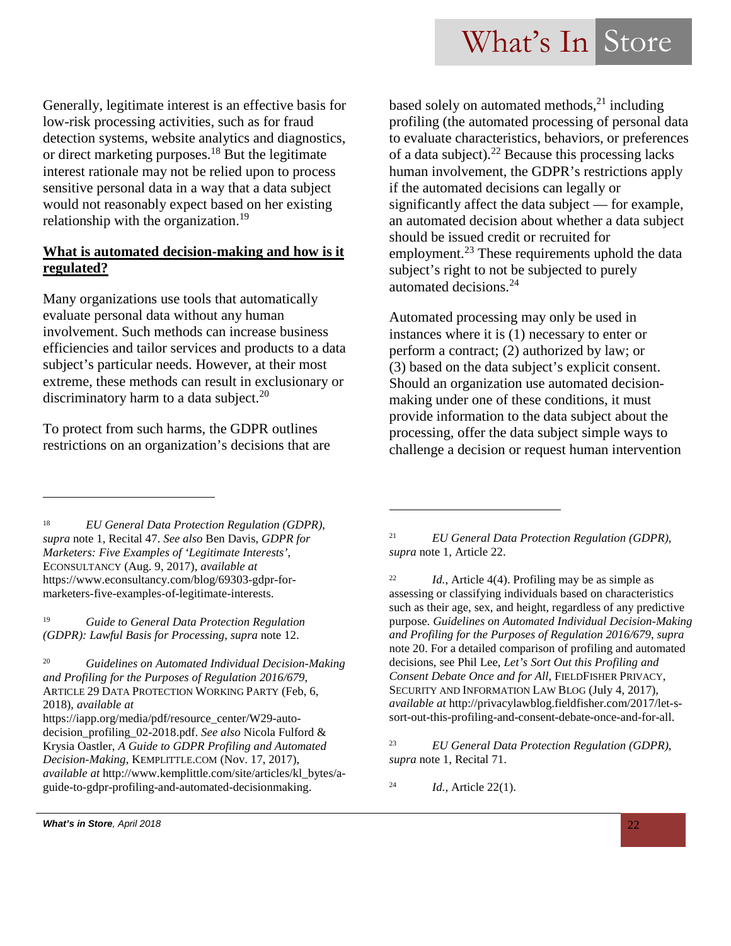Generally, legitimate interest is an effective basis for low-risk processing activities, such as for fraud detection systems, website analytics and diagnostics, or direct marketing purposes.<sup>18</sup> But the legitimate interest rationale may not be relied upon to process sensitive personal data in a way that a data subject would not reasonably expect based on her existing relationship with the organization.<sup>19</sup>

#### **What is automated decision-making and how is it regulated?**

Many organizations use tools that automatically evaluate personal data without any human involvement. Such methods can increase business efficiencies and tailor services and products to a data subject's particular needs. However, at their most extreme, these methods can result in exclusionary or discriminatory harm to a data subject.<sup>20</sup>

To protect from such harms, the GDPR outlines restrictions on an organization's decisions that are based solely on automated methods, $^{21}$  including profiling (the automated processing of personal data to evaluate characteristics, behaviors, or preferences of a data subject).<sup>22</sup> Because this processing lacks human involvement, the GDPR's restrictions apply if the automated decisions can legally or significantly affect the data subject — for example, an automated decision about whether a data subject should be issued credit or recruited for employment.<sup>23</sup> These requirements uphold the data subject's right to not be subjected to purely automated decisions.<sup>24</sup>

Automated processing may only be used in instances where it is (1) necessary to enter or perform a contract; (2) authorized by law; or (3) based on the data subject's explicit consent. Should an organization use automated decisionmaking under one of these conditions, it must provide information to the data subject about the processing, offer the data subject simple ways to challenge a decision or request human intervention

<sup>18</sup> *EU General Data Protection Regulation (GDPR)*, *supra* note 1, Recital 47. *See also* Ben Davis, *GDPR for Marketers: Five Examples of 'Legitimate Interests'*, ECONSULTANCY (Aug. 9, 2017), *available at* https://www.econsultancy.com/blog/69303-gdpr-formarketers-five-examples-of-legitimate-interests.

<sup>19</sup> *Guide to General Data Protection Regulation (GDPR): Lawful Basis for Processing*, *supra* note 12.

<sup>20</sup> *Guidelines on Automated Individual Decision-Making and Profiling for the Purposes of Regulation 2016/679*, ARTICLE 29 DATA PROTECTION WORKING PARTY (Feb, 6, 2018), *available at*

https://iapp.org/media/pdf/resource\_center/W29-autodecision\_profiling\_02-2018.pdf. *See also* Nicola Fulford & Krysia Oastler, *A Guide to GDPR Profiling and Automated Decision-Making*, KEMPLITTLE.COM (Nov. 17, 2017), *available at* http://www.kemplittle.com/site/articles/kl\_bytes/aguide-to-gdpr-profiling-and-automated-decisionmaking.

<sup>21</sup> *EU General Data Protection Regulation (GDPR)*, *supra* note 1, Article 22.

<sup>22</sup> *Id.*, Article 4(4). Profiling may be as simple as assessing or classifying individuals based on characteristics such as their age, sex, and height, regardless of any predictive purpose. *Guidelines on Automated Individual Decision-Making and Profiling for the Purposes of Regulation 2016/679*, *supra* note 20. For a detailed comparison of profiling and automated decisions, see Phil Lee, *Let's Sort Out this Profiling and Consent Debate Once and for All*, FIELDFISHER PRIVACY, SECURITY AND INFORMATION LAW BLOG (July 4, 2017), *available at* http://privacylawblog.fieldfisher.com/2017/let-ssort-out-this-profiling-and-consent-debate-once-and-for-all.

<sup>23</sup> *EU General Data Protection Regulation (GDPR)*, *supra* note 1, Recital 71.

<sup>24</sup> *Id.*, Article 22(1).

*What's in Store, April 2018* 22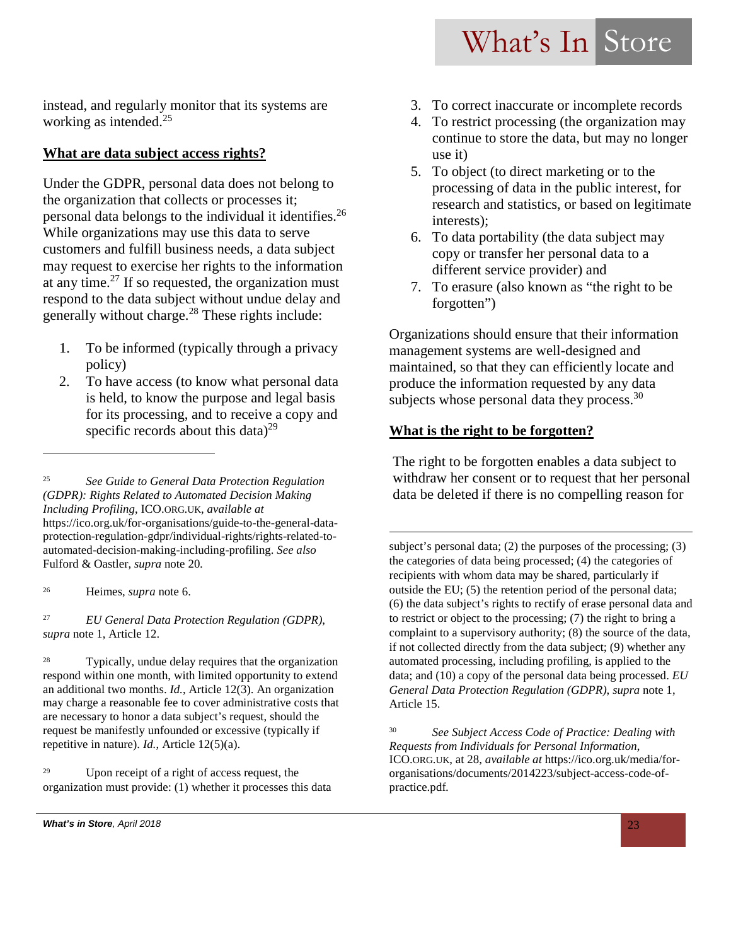instead, and regularly monitor that its systems are working as intended. $25$ 

#### **What are data subject access rights?**

Under the GDPR, personal data does not belong to the organization that collects or processes it; personal data belongs to the individual it identifies.<sup>26</sup> While organizations may use this data to serve customers and fulfill business needs, a data subject may request to exercise her rights to the information at any time. $27$  If so requested, the organization must respond to the data subject without undue delay and generally without charge.<sup>28</sup> These rights include:

- 1. To be informed (typically through a privacy policy)
- 2. To have access (to know what personal data is held, to know the purpose and legal basis for its processing, and to receive a copy and specific records about this data) $^{29}$

<sup>26</sup> Heimes, *supra* note 6.

<sup>27</sup> *EU General Data Protection Regulation (GDPR)*, *supra* note 1, Article 12.

<sup>28</sup> Typically, undue delay requires that the organization respond within one month, with limited opportunity to extend an additional two months. *Id.*, Article 12(3). An organization may charge a reasonable fee to cover administrative costs that are necessary to honor a data subject's request, should the request be manifestly unfounded or excessive (typically if repetitive in nature). *Id.*, Article 12(5)(a).

<sup>29</sup> Upon receipt of a right of access request, the organization must provide: (1) whether it processes this data

- 3. To correct inaccurate or incomplete records
- 4. To restrict processing (the organization may continue to store the data, but may no longer use it)
- 5. To object (to direct marketing or to the processing of data in the public interest, for research and statistics, or based on legitimate interests);
- 6. To data portability (the data subject may copy or transfer her personal data to a different service provider) and
- 7. To erasure (also known as "the right to be forgotten")

Organizations should ensure that their information management systems are well-designed and maintained, so that they can efficiently locate and produce the information requested by any data subjects whose personal data they process.  $30$ 

#### **What is the right to be forgotten?**

The right to be forgotten enables a data subject to withdraw her consent or to request that her personal data be deleted if there is no compelling reason for

subject's personal data; (2) the purposes of the processing; (3) the categories of data being processed; (4) the categories of recipients with whom data may be shared, particularly if outside the EU; (5) the retention period of the personal data; (6) the data subject's rights to rectify of erase personal data and to restrict or object to the processing; (7) the right to bring a complaint to a supervisory authority; (8) the source of the data, if not collected directly from the data subject; (9) whether any automated processing, including profiling, is applied to the data; and (10) a copy of the personal data being processed. *EU General Data Protection Regulation (GDPR)*, *supra* note 1, Article 15.

<sup>30</sup> *See Subject Access Code of Practice: Dealing with Requests from Individuals for Personal Information*, ICO.ORG.UK, at 28, *available at* https://ico.org.uk/media/fororganisations/documents/2014223/subject-access-code-ofpractice.pdf*.*

<sup>25</sup> *See Guide to General Data Protection Regulation (GDPR): Rights Related to Automated Decision Making Including Profiling*, ICO.ORG.UK, *available at* https://ico.org.uk/for-organisations/guide-to-the-general-dataprotection-regulation-gdpr/individual-rights/rights-related-toautomated-decision-making-including-profiling. *See also*  Fulford & Oastler, *supra* note 20*.*